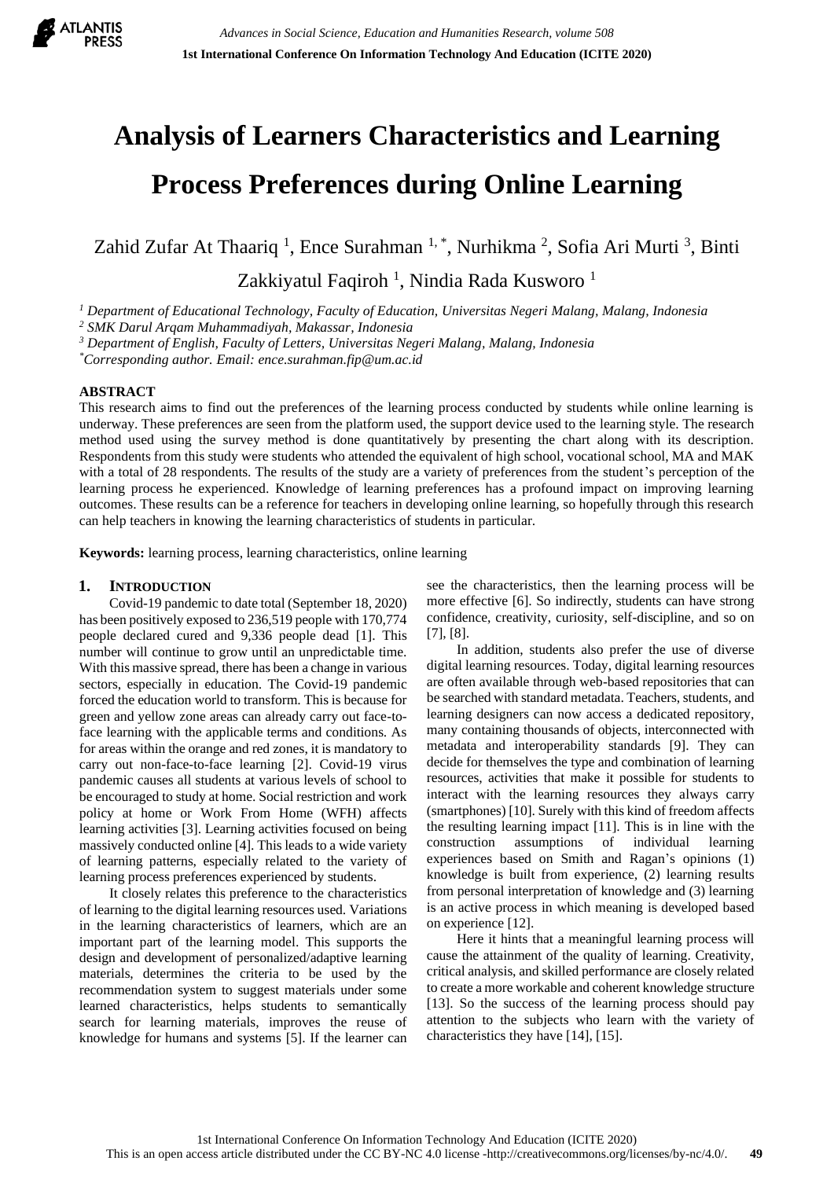

# **Analysis of Learners Characteristics and Learning Process Preferences during Online Learning**

Zahid Zufar At Thaariq<sup>1</sup>, Ence Surahman<sup>1,\*</sup>, Nurhikma<sup>2</sup>, Sofia Ari Murti<sup>3</sup>, Binti

Zakkiyatul Faqiroh<sup>1</sup>, Nindia Rada Kusworo<sup>1</sup>

*<sup>1</sup> Department of Educational Technology, Faculty of Education, Universitas Negeri Malang, Malang, Indonesia*

*<sup>2</sup> SMK Darul Arqam Muhammadiyah, Makassar, Indonesia*

*<sup>3</sup> Department of English, Faculty of Letters, Universitas Negeri Malang, Malang, Indonesia*

*\*Corresponding author. Email: ence.surahman.fip@um.ac.id*

### **ABSTRACT**

This research aims to find out the preferences of the learning process conducted by students while online learning is underway. These preferences are seen from the platform used, the support device used to the learning style. The research method used using the survey method is done quantitatively by presenting the chart along with its description. Respondents from this study were students who attended the equivalent of high school, vocational school, MA and MAK with a total of 28 respondents. The results of the study are a variety of preferences from the student's perception of the learning process he experienced. Knowledge of learning preferences has a profound impact on improving learning outcomes. These results can be a reference for teachers in developing online learning, so hopefully through this research can help teachers in knowing the learning characteristics of students in particular.

**Keywords:** learning process, learning characteristics, online learning

#### **1. INTRODUCTION**

Covid-19 pandemic to date total (September 18, 2020) has been positively exposed to 236,519 people with 170,774 people declared cured and 9,336 people dead [1]. This number will continue to grow until an unpredictable time. With this massive spread, there has been a change in various sectors, especially in education. The Covid-19 pandemic forced the education world to transform. This is because for green and yellow zone areas can already carry out face-toface learning with the applicable terms and conditions. As for areas within the orange and red zones, it is mandatory to carry out non-face-to-face learning [2]. Covid-19 virus pandemic causes all students at various levels of school to be encouraged to study at home. Social restriction and work policy at home or Work From Home (WFH) affects learning activities [3]. Learning activities focused on being massively conducted online [4]. This leads to a wide variety of learning patterns, especially related to the variety of learning process preferences experienced by students.

It closely relates this preference to the characteristics of learning to the digital learning resources used. Variations in the learning characteristics of learners, which are an important part of the learning model. This supports the design and development of personalized/adaptive learning materials, determines the criteria to be used by the recommendation system to suggest materials under some learned characteristics, helps students to semantically search for learning materials, improves the reuse of knowledge for humans and systems [5]. If the learner can see the characteristics, then the learning process will be more effective [6]. So indirectly, students can have strong confidence, creativity, curiosity, self-discipline, and so on [7], [8].

In addition, students also prefer the use of diverse digital learning resources. Today, digital learning resources are often available through web-based repositories that can be searched with standard metadata. Teachers, students, and learning designers can now access a dedicated repository, many containing thousands of objects, interconnected with metadata and interoperability standards [9]. They can decide for themselves the type and combination of learning resources, activities that make it possible for students to interact with the learning resources they always carry (smartphones) [10]. Surely with this kind of freedom affects the resulting learning impact [11]. This is in line with the construction assumptions of individual learning experiences based on Smith and Ragan's opinions (1) knowledge is built from experience, (2) learning results from personal interpretation of knowledge and (3) learning is an active process in which meaning is developed based on experience [12].

Here it hints that a meaningful learning process will cause the attainment of the quality of learning. Creativity, critical analysis, and skilled performance are closely related to create a more workable and coherent knowledge structure [13]. So the success of the learning process should pay attention to the subjects who learn with the variety of characteristics they have [14], [15].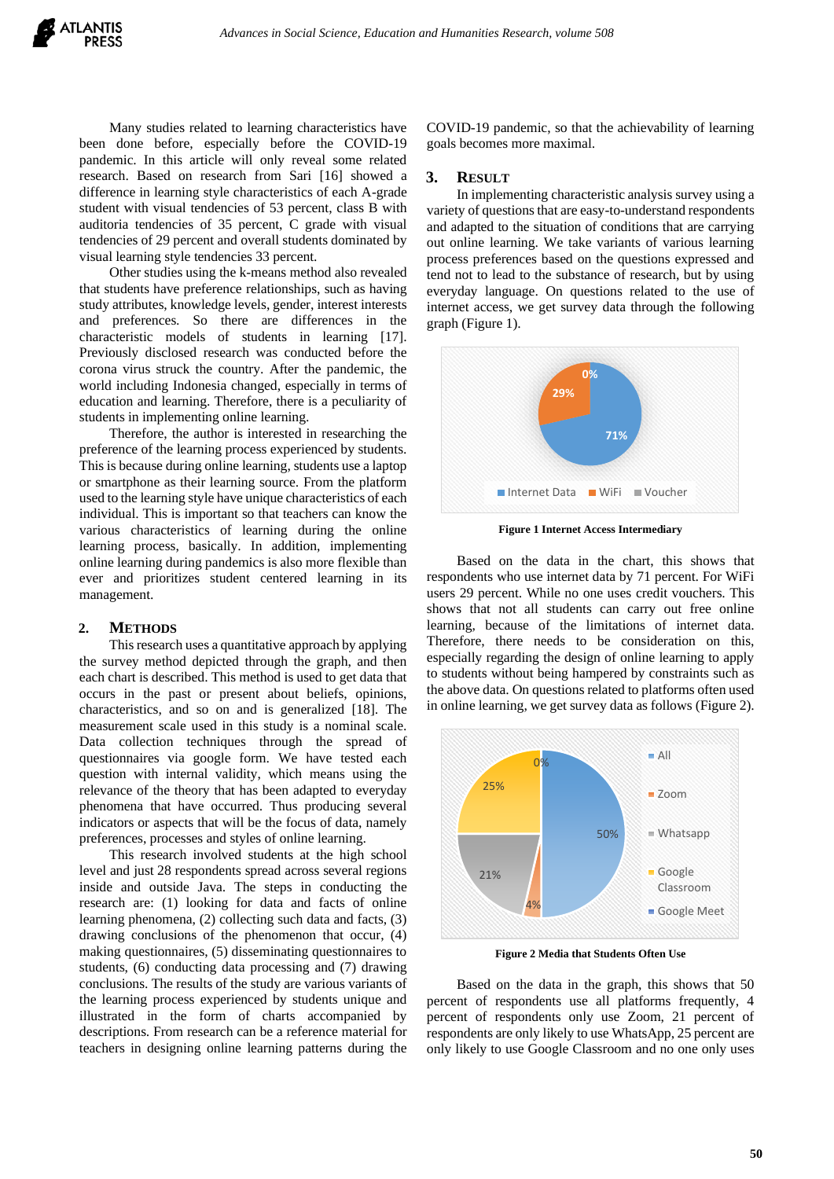Many studies related to learning characteristics have been done before, especially before the COVID-19 pandemic. In this article will only reveal some related research. Based on research from Sari [16] showed a difference in learning style characteristics of each A-grade student with visual tendencies of 53 percent, class B with auditoria tendencies of 35 percent, C grade with visual tendencies of 29 percent and overall students dominated by visual learning style tendencies 33 percent.

Other studies using the k-means method also revealed that students have preference relationships, such as having study attributes, knowledge levels, gender, interest interests and preferences. So there are differences in the characteristic models of students in learning [17]. Previously disclosed research was conducted before the corona virus struck the country. After the pandemic, the world including Indonesia changed, especially in terms of education and learning. Therefore, there is a peculiarity of students in implementing online learning.

Therefore, the author is interested in researching the preference of the learning process experienced by students. This is because during online learning, students use a laptop or smartphone as their learning source. From the platform used to the learning style have unique characteristics of each individual. This is important so that teachers can know the various characteristics of learning during the online learning process, basically. In addition, implementing online learning during pandemics is also more flexible than ever and prioritizes student centered learning in its management.

## **2. METHODS**

This research uses a quantitative approach by applying the survey method depicted through the graph, and then each chart is described. This method is used to get data that occurs in the past or present about beliefs, opinions, characteristics, and so on and is generalized [18]. The measurement scale used in this study is a nominal scale. Data collection techniques through the spread of questionnaires via google form. We have tested each question with internal validity, which means using the relevance of the theory that has been adapted to everyday phenomena that have occurred. Thus producing several indicators or aspects that will be the focus of data, namely preferences, processes and styles of online learning.

This research involved students at the high school level and just 28 respondents spread across several regions inside and outside Java. The steps in conducting the research are: (1) looking for data and facts of online learning phenomena, (2) collecting such data and facts, (3) drawing conclusions of the phenomenon that occur, (4) making questionnaires, (5) disseminating questionnaires to students, (6) conducting data processing and (7) drawing conclusions. The results of the study are various variants of the learning process experienced by students unique and illustrated in the form of charts accompanied by descriptions. From research can be a reference material for teachers in designing online learning patterns during the COVID-19 pandemic, so that the achievability of learning goals becomes more maximal.

#### **3. RESULT**

In implementing characteristic analysis survey using a variety of questions that are easy-to-understand respondents and adapted to the situation of conditions that are carrying out online learning. We take variants of various learning process preferences based on the questions expressed and tend not to lead to the substance of research, but by using everyday language. On questions related to the use of internet access, we get survey data through the following graph (Figure 1).



**Figure 1 Internet Access Intermediary**

Based on the data in the chart, this shows that respondents who use internet data by 71 percent. For WiFi users 29 percent. While no one uses credit vouchers. This shows that not all students can carry out free online learning, because of the limitations of internet data. Therefore, there needs to be consideration on this, especially regarding the design of online learning to apply to students without being hampered by constraints such as the above data. On questions related to platforms often used in online learning, we get survey data as follows (Figure 2).



**Figure 2 Media that Students Often Use**

Based on the data in the graph, this shows that 50 percent of respondents use all platforms frequently, 4 percent of respondents only use Zoom, 21 percent of respondents are only likely to use WhatsApp, 25 percent are only likely to use Google Classroom and no one only uses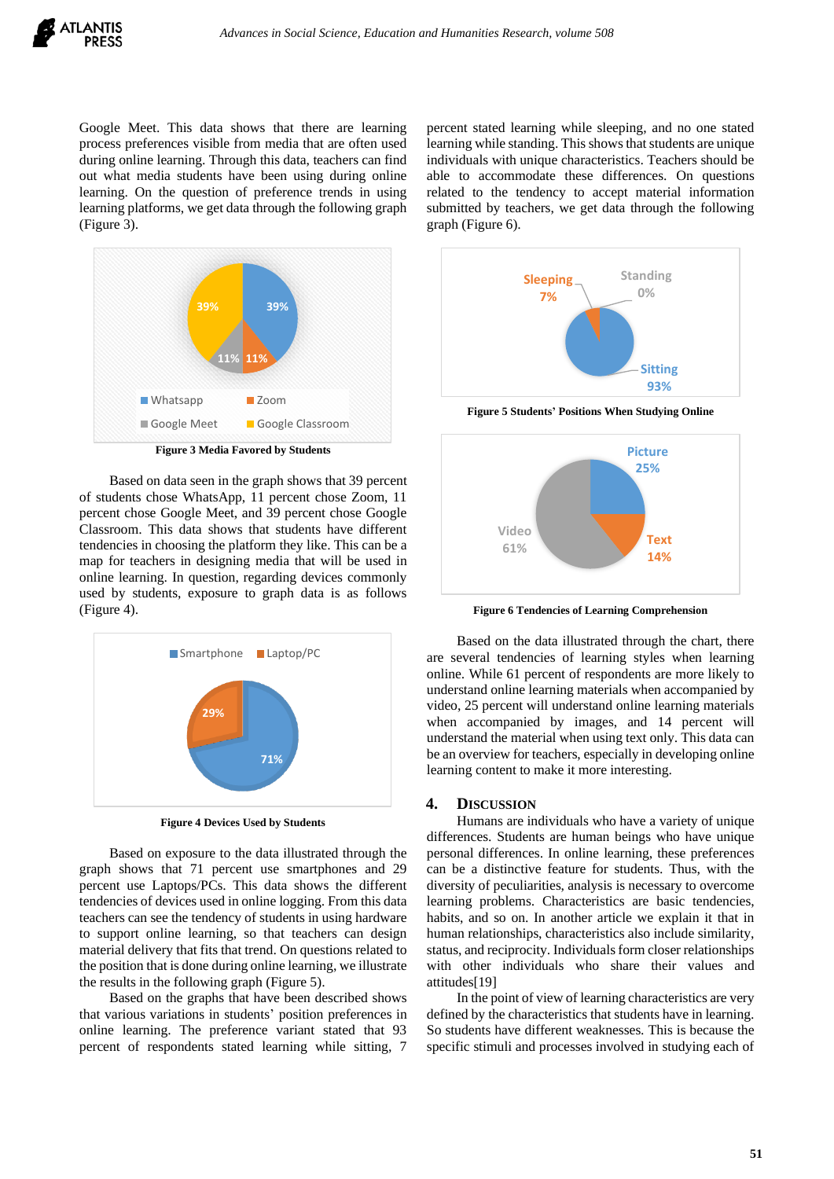

Google Meet. This data shows that there are learning process preferences visible from media that are often used during online learning. Through this data, teachers can find out what media students have been using during online learning. On the question of preference trends in using learning platforms, we get data through the following graph (Figure 3).



Based on data seen in the graph shows that 39 percent of students chose WhatsApp, 11 percent chose Zoom, 11 percent chose Google Meet, and 39 percent chose Google Classroom. This data shows that students have different tendencies in choosing the platform they like. This can be a map for teachers in designing media that will be used in online learning. In question, regarding devices commonly used by students, exposure to graph data is as follows (Figure 4).



**Figure 4 Devices Used by Students**

Based on exposure to the data illustrated through the graph shows that 71 percent use smartphones and 29 percent use Laptops/PCs. This data shows the different tendencies of devices used in online logging. From this data teachers can see the tendency of students in using hardware to support online learning, so that teachers can design material delivery that fits that trend. On questions related to the position that is done during online learning, we illustrate the results in the following graph (Figure 5).

Based on the graphs that have been described shows that various variations in students' position preferences in online learning. The preference variant stated that 93 percent of respondents stated learning while sitting, 7

percent stated learning while sleeping, and no one stated learning while standing. This shows that students are unique individuals with unique characteristics. Teachers should be able to accommodate these differences. On questions related to the tendency to accept material information submitted by teachers, we get data through the following graph (Figure 6).



**Figure 5 Students' Positions When Studying Online**



**Figure 6 Tendencies of Learning Comprehension**

Based on the data illustrated through the chart, there are several tendencies of learning styles when learning online. While 61 percent of respondents are more likely to understand online learning materials when accompanied by video, 25 percent will understand online learning materials when accompanied by images, and 14 percent will understand the material when using text only. This data can be an overview for teachers, especially in developing online learning content to make it more interesting.

#### **4. DISCUSSION**

Humans are individuals who have a variety of unique differences. Students are human beings who have unique personal differences. In online learning, these preferences can be a distinctive feature for students. Thus, with the diversity of peculiarities, analysis is necessary to overcome learning problems. Characteristics are basic tendencies, habits, and so on. In another article we explain it that in human relationships, characteristics also include similarity, status, and reciprocity. Individuals form closer relationships with other individuals who share their values and attitudes[19]

In the point of view of learning characteristics are very defined by the characteristics that students have in learning. So students have different weaknesses. This is because the specific stimuli and processes involved in studying each of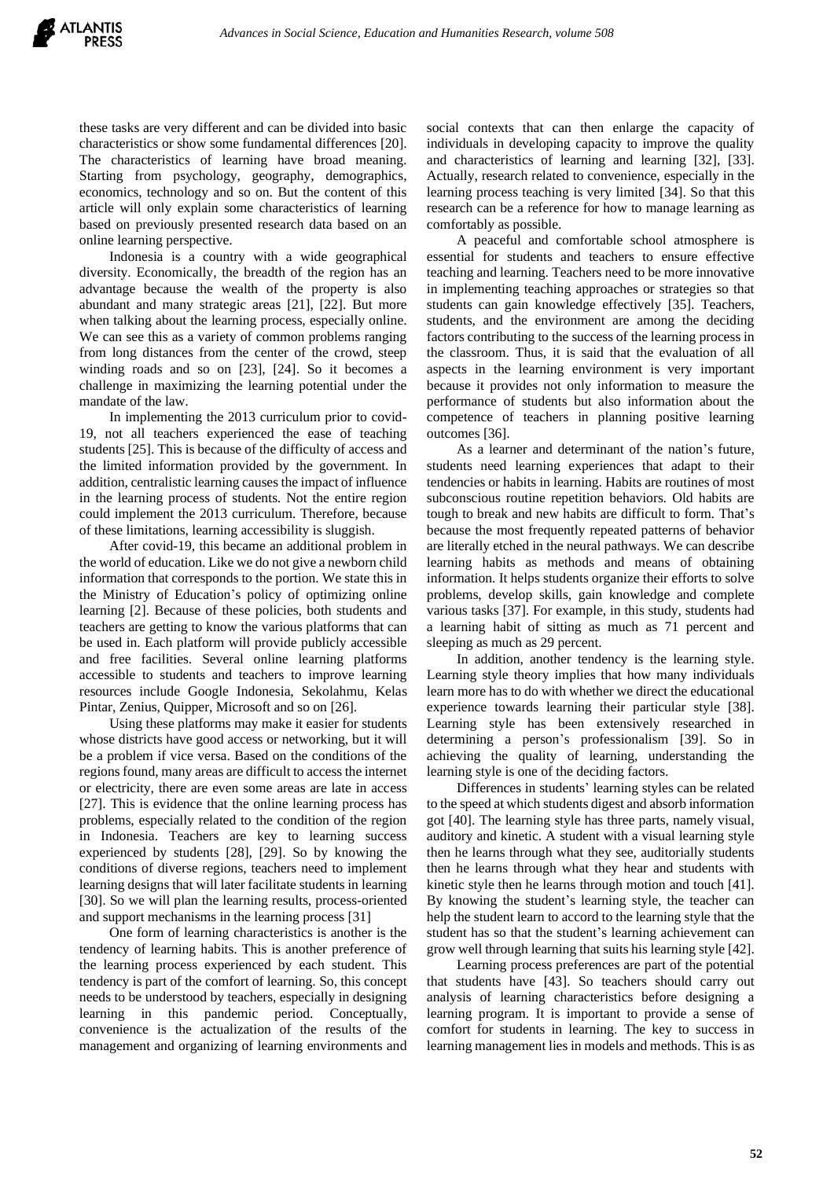these tasks are very different and can be divided into basic characteristics or show some fundamental differences [20]. The characteristics of learning have broad meaning. Starting from psychology, geography, demographics, economics, technology and so on. But the content of this article will only explain some characteristics of learning based on previously presented research data based on an online learning perspective.

Indonesia is a country with a wide geographical diversity. Economically, the breadth of the region has an advantage because the wealth of the property is also abundant and many strategic areas [21], [22]. But more when talking about the learning process, especially online. We can see this as a variety of common problems ranging from long distances from the center of the crowd, steep winding roads and so on [23], [24]. So it becomes a challenge in maximizing the learning potential under the mandate of the law.

In implementing the 2013 curriculum prior to covid-19, not all teachers experienced the ease of teaching students [25]. This is because of the difficulty of access and the limited information provided by the government. In addition, centralistic learning causes the impact of influence in the learning process of students. Not the entire region could implement the 2013 curriculum. Therefore, because of these limitations, learning accessibility is sluggish.

After covid-19, this became an additional problem in the world of education. Like we do not give a newborn child information that corresponds to the portion. We state this in the Ministry of Education's policy of optimizing online learning [2]. Because of these policies, both students and teachers are getting to know the various platforms that can be used in. Each platform will provide publicly accessible and free facilities. Several online learning platforms accessible to students and teachers to improve learning resources include Google Indonesia, Sekolahmu, Kelas Pintar, Zenius, Quipper, Microsoft and so on [26].

Using these platforms may make it easier for students whose districts have good access or networking, but it will be a problem if vice versa. Based on the conditions of the regions found, many areas are difficult to access the internet or electricity, there are even some areas are late in access [27]. This is evidence that the online learning process has problems, especially related to the condition of the region in Indonesia. Teachers are key to learning success experienced by students [28], [29]. So by knowing the conditions of diverse regions, teachers need to implement learning designs that will later facilitate students in learning [30]. So we will plan the learning results, process-oriented and support mechanisms in the learning process [31]

One form of learning characteristics is another is the tendency of learning habits. This is another preference of the learning process experienced by each student. This tendency is part of the comfort of learning. So, this concept needs to be understood by teachers, especially in designing learning in this pandemic period. Conceptually, convenience is the actualization of the results of the management and organizing of learning environments and

social contexts that can then enlarge the capacity of individuals in developing capacity to improve the quality and characteristics of learning and learning [32], [33]. Actually, research related to convenience, especially in the learning process teaching is very limited [34]. So that this research can be a reference for how to manage learning as comfortably as possible.

A peaceful and comfortable school atmosphere is essential for students and teachers to ensure effective teaching and learning. Teachers need to be more innovative in implementing teaching approaches or strategies so that students can gain knowledge effectively [35]. Teachers, students, and the environment are among the deciding factors contributing to the success of the learning process in the classroom. Thus, it is said that the evaluation of all aspects in the learning environment is very important because it provides not only information to measure the performance of students but also information about the competence of teachers in planning positive learning outcomes [36].

As a learner and determinant of the nation's future, students need learning experiences that adapt to their tendencies or habits in learning. Habits are routines of most subconscious routine repetition behaviors. Old habits are tough to break and new habits are difficult to form. That's because the most frequently repeated patterns of behavior are literally etched in the neural pathways. We can describe learning habits as methods and means of obtaining information. It helps students organize their efforts to solve problems, develop skills, gain knowledge and complete various tasks [37]. For example, in this study, students had a learning habit of sitting as much as 71 percent and sleeping as much as 29 percent.

In addition, another tendency is the learning style. Learning style theory implies that how many individuals learn more has to do with whether we direct the educational experience towards learning their particular style [38]. Learning style has been extensively researched in determining a person's professionalism [39]. So in achieving the quality of learning, understanding the learning style is one of the deciding factors.

Differences in students' learning styles can be related to the speed at which students digest and absorb information got [40]. The learning style has three parts, namely visual, auditory and kinetic. A student with a visual learning style then he learns through what they see, auditorially students then he learns through what they hear and students with kinetic style then he learns through motion and touch [41]. By knowing the student's learning style, the teacher can help the student learn to accord to the learning style that the student has so that the student's learning achievement can grow well through learning that suits his learning style [42].

Learning process preferences are part of the potential that students have [43]. So teachers should carry out analysis of learning characteristics before designing a learning program. It is important to provide a sense of comfort for students in learning. The key to success in learning management lies in models and methods. This is as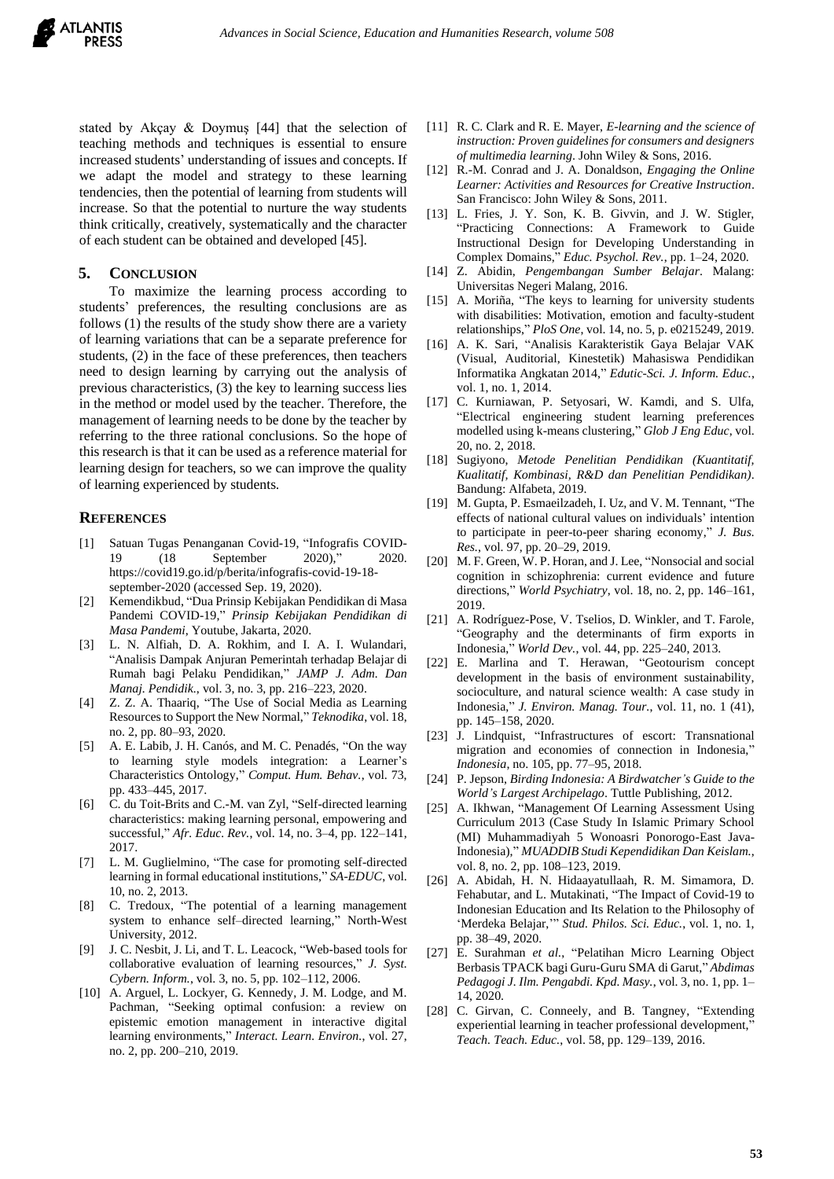

stated by Akçay & Doymuş [44] that the selection of teaching methods and techniques is essential to ensure increased students' understanding of issues and concepts. If we adapt the model and strategy to these learning tendencies, then the potential of learning from students will increase. So that the potential to nurture the way students think critically, creatively, systematically and the character of each student can be obtained and developed [45].

#### **5. CONCLUSION**

To maximize the learning process according to students' preferences, the resulting conclusions are as follows (1) the results of the study show there are a variety of learning variations that can be a separate preference for students, (2) in the face of these preferences, then teachers need to design learning by carrying out the analysis of previous characteristics, (3) the key to learning success lies in the method or model used by the teacher. Therefore, the management of learning needs to be done by the teacher by referring to the three rational conclusions. So the hope of this research is that it can be used as a reference material for learning design for teachers, so we can improve the quality of learning experienced by students.

#### **REFERENCES**

- [1] Satuan Tugas Penanganan Covid-19, "Infografis COVID-19 (18 September 2020)," 2020. https://covid19.go.id/p/berita/infografis-covid-19-18 september-2020 (accessed Sep. 19, 2020).
- [2] Kemendikbud, "Dua Prinsip Kebijakan Pendidikan di Masa Pandemi COVID-19," *Prinsip Kebijakan Pendidikan di Masa Pandemi*, Youtube, Jakarta, 2020.
- [3] L. N. Alfiah, D. A. Rokhim, and I. A. I. Wulandari, "Analisis Dampak Anjuran Pemerintah terhadap Belajar di Rumah bagi Pelaku Pendidikan," *JAMP J. Adm. Dan Manaj. Pendidik.*, vol. 3, no. 3, pp. 216–223, 2020.
- [4] Z. Z. A. Thaariq, "The Use of Social Media as Learning Resources to Support the New Normal," *Teknodika*, vol. 18, no. 2, pp. 80–93, 2020.
- [5] A. E. Labib, J. H. Canós, and M. C. Penadés, "On the way to learning style models integration: a Learner's Characteristics Ontology," *Comput. Hum. Behav.*, vol. 73, pp. 433–445, 2017.
- [6] C. du Toit-Brits and C.-M. van Zyl, "Self-directed learning characteristics: making learning personal, empowering and successful," *Afr. Educ. Rev.*, vol. 14, no. 3–4, pp. 122–141, 2017.
- [7] L. M. Guglielmino, "The case for promoting self-directed learning in formal educational institutions," *SA-EDUC*, vol. 10, no. 2, 2013.
- [8] C. Tredoux, "The potential of a learning management system to enhance self–directed learning," North-West University, 2012.
- [9] J. C. Nesbit, J. Li, and T. L. Leacock, "Web-based tools for collaborative evaluation of learning resources," *J. Syst. Cybern. Inform.*, vol. 3, no. 5, pp. 102–112, 2006.
- [10] A. Arguel, L. Lockyer, G. Kennedy, J. M. Lodge, and M. Pachman, "Seeking optimal confusion: a review on epistemic emotion management in interactive digital learning environments," *Interact. Learn. Environ.*, vol. 27, no. 2, pp. 200–210, 2019.
- [11] R. C. Clark and R. E. Mayer, *E-learning and the science of instruction: Proven guidelines for consumers and designers of multimedia learning*. John Wiley & Sons, 2016.
- [12] R.-M. Conrad and J. A. Donaldson, *Engaging the Online Learner: Activities and Resources for Creative Instruction*. San Francisco: John Wiley & Sons, 2011.
- [13] L. Fries, J. Y. Son, K. B. Givvin, and J. W. Stigler, "Practicing Connections: A Framework to Guide Instructional Design for Developing Understanding in Complex Domains," *Educ. Psychol. Rev.*, pp. 1–24, 2020.
- [14] Z. Abidin, *Pengembangan Sumber Belajar*. Malang: Universitas Negeri Malang, 2016.
- [15] A. Moriña, "The keys to learning for university students with disabilities: Motivation, emotion and faculty-student relationships," *PloS One*, vol. 14, no. 5, p. e0215249, 2019.
- [16] A. K. Sari, "Analisis Karakteristik Gaya Belajar VAK (Visual, Auditorial, Kinestetik) Mahasiswa Pendidikan Informatika Angkatan 2014," *Edutic-Sci. J. Inform. Educ.*, vol. 1, no. 1, 2014.
- [17] C. Kurniawan, P. Setyosari, W. Kamdi, and S. Ulfa, "Electrical engineering student learning preferences modelled using k-means clustering," *Glob J Eng Educ*, vol. 20, no. 2, 2018.
- [18] Sugiyono, *Metode Penelitian Pendidikan (Kuantitatif, Kualitatif, Kombinasi, R&D dan Penelitian Pendidikan)*. Bandung: Alfabeta, 2019.
- [19] M. Gupta, P. Esmaeilzadeh, I. Uz, and V. M. Tennant, "The effects of national cultural values on individuals' intention to participate in peer-to-peer sharing economy," *J. Bus. Res.*, vol. 97, pp. 20–29, 2019.
- [20] M. F. Green, W. P. Horan, and J. Lee, "Nonsocial and social cognition in schizophrenia: current evidence and future directions," *World Psychiatry*, vol. 18, no. 2, pp. 146–161, 2019.
- [21] A. Rodríguez-Pose, V. Tselios, D. Winkler, and T. Farole, "Geography and the determinants of firm exports in Indonesia," *World Dev.*, vol. 44, pp. 225–240, 2013.
- [22] E. Marlina and T. Herawan, "Geotourism concept development in the basis of environment sustainability, socioculture, and natural science wealth: A case study in Indonesia," *J. Environ. Manag. Tour.*, vol. 11, no. 1 (41), pp. 145–158, 2020.
- [23] J. Lindquist, "Infrastructures of escort: Transnational migration and economies of connection in Indonesia," *Indonesia*, no. 105, pp. 77–95, 2018.
- [24] P. Jepson, *Birding Indonesia: A Birdwatcher's Guide to the World's Largest Archipelago*. Tuttle Publishing, 2012.
- [25] A. Ikhwan, "Management Of Learning Assessment Using Curriculum 2013 (Case Study In Islamic Primary School (MI) Muhammadiyah 5 Wonoasri Ponorogo-East Java-Indonesia)," *MUADDIB Studi Kependidikan Dan Keislam.*, vol. 8, no. 2, pp. 108–123, 2019.
- [26] A. Abidah, H. N. Hidaayatullaah, R. M. Simamora, D. Fehabutar, and L. Mutakinati, "The Impact of Covid-19 to Indonesian Education and Its Relation to the Philosophy of 'Merdeka Belajar,'" *Stud. Philos. Sci. Educ.*, vol. 1, no. 1, pp. 38–49, 2020.
- [27] E. Surahman *et al.*, "Pelatihan Micro Learning Object Berbasis TPACK bagi Guru-Guru SMA di Garut," *Abdimas Pedagogi J. Ilm. Pengabdi. Kpd. Masy.*, vol. 3, no. 1, pp. 1– 14, 2020.
- [28] C. Girvan, C. Conneely, and B. Tangney, "Extending experiential learning in teacher professional development," *Teach. Teach. Educ.*, vol. 58, pp. 129–139, 2016.